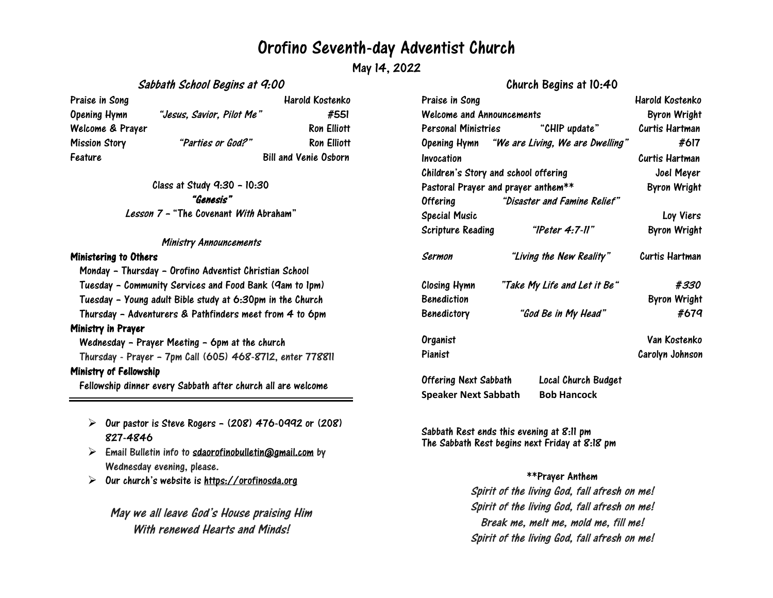## Orofino Seventh-day Adventist Church

May 14, 2022

### Sabbath School Begins at 9:00

Praise in Song New York 1988 and Harold Kostenko Opening Hymn "Jesus, Savior, Pilot Me" #551 Welcome & Prayer Ron Elliott Mission Story "Parties or God?" Ron Elliott Feature Bill and Venie Osborn

Class at Study 9:30 – 10:30 "Genesis" Lesson <sup>7</sup> – "The Covenant With Abraham"

#### Ministry Announcements

#### Ministering to Others

Monday – Thursday – Orofino Adventist Christian School Tuesday – Community Services and Food Bank (9am to 1pm) Tuesday – Young adult Bible study at 6:30pm in the Church Thursday – Adventurers & Pathfinders meet from 4 to 6pm Ministry in Prayer Wednesday – Prayer Meeting – 6pm at the church Thursday - Prayer – 7pm Call (605) 468-8712, enter 778811 Ministry of Fellowship

Fellowship dinner every Sabbath after church all are welcome

- $\triangleright$  Our pastor is Steve Rogers (208) 476-0992 or (208) 827-4846
- $\triangleright$  Email Bulletin info to [sdaorofinobulletin@gmail.com](mailto:sdaorofinobulletin@gmail.com) by Wednesday evening, please.
- $\triangleright$ Our church's website is [https://orofinosda.org](https://orofinosda.org/)

May we all leave God's House praising Him With renewed Hearts and Minds!

## Church Begins at 10:40

| Praise in Song                       |                                               | Harold Kostenko     |
|--------------------------------------|-----------------------------------------------|---------------------|
| <b>Welcome and Announcements</b>     |                                               | <b>Byron Wright</b> |
|                                      | Personal Ministries "CHIP update"             | Curtis Hartman      |
|                                      | Opening Hymn "We are Living, We are Dwelling" | #617                |
| Invocation                           |                                               | Curtis Hartman      |
| Children's Story and school offering |                                               | Joel Meyer          |
| Pastoral Prayer and prayer anthem**  |                                               | <b>Byron Wright</b> |
| Offering                             | "Disaster and Famine Relief"                  |                     |
| <b>Special Music</b>                 |                                               | Loy Viers           |
| Scripture Reading                    | "IPeter 4:7-11"                               | <b>Byron Wright</b> |
| Sermon                               | "Living the New Reality"                      | Curtis Hartman      |
| Closing Hymn                         | "Take My Life and Let it Be"                  | #330                |
| <b>Benediction</b>                   |                                               | <b>Byron Wright</b> |
| <b>Benedictory</b>                   | "God Be in My Head"                           | #679                |
| Organist                             |                                               | Van Kostenko        |
| Pianist                              |                                               | Carolyn Johnson     |
| Offering Next Sabbath                | Local Church Budget                           |                     |

Sabbath Rest ends this evening at 8:11 pm The Sabbath Rest begins next Friday at 8:18 pm

**Speaker Next Sabbath Bob Hancock**

## \*\*Prayer Anthem

Spirit of the living God, fall afresh on me! Spirit of the living God, fall afresh on me! Break me, melt me, mold me, fill me! Spirit of the living God, fall afresh on me!